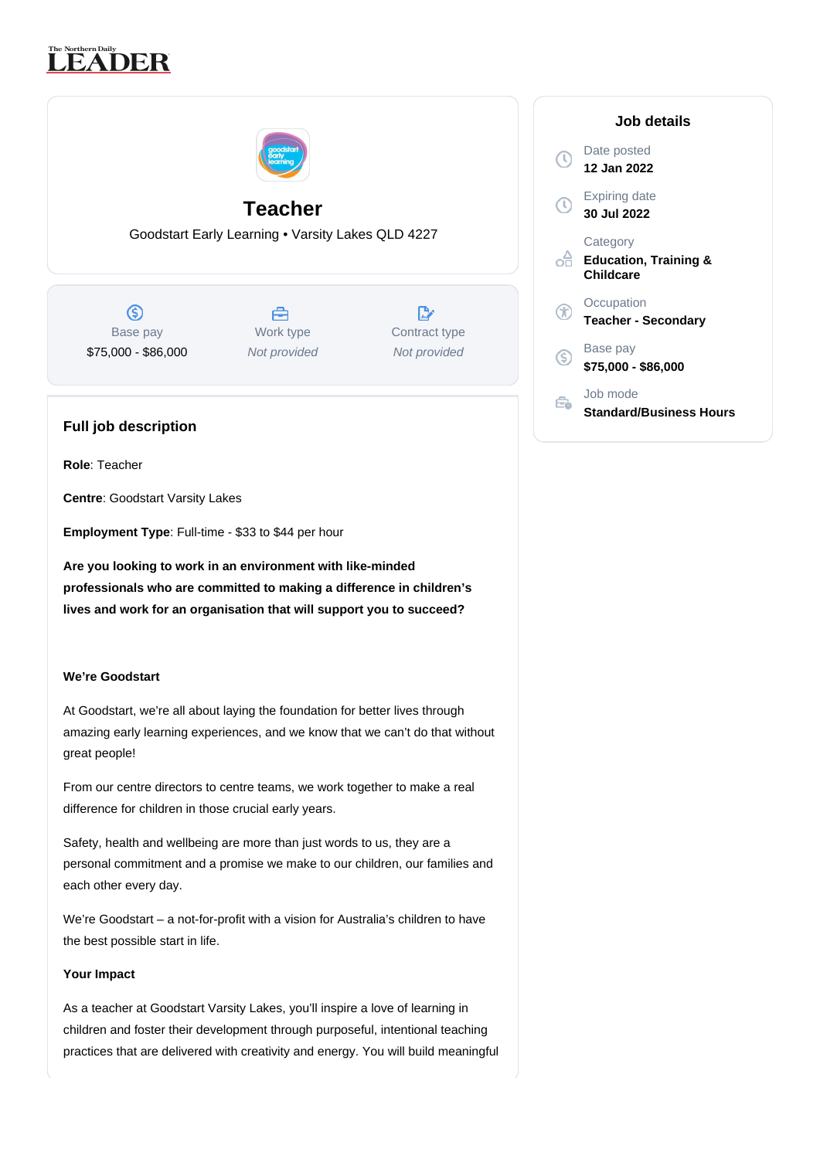# **LEADER**



## **Teacher**

Goodstart Early Learning • Varsity Lakes QLD 4227

 $\circledS$ Base pay \$75,000 - \$86,000

舍 Work type Not provided

 $\mathbb{R}^n$ Contract type Not provided

### **Full job description**

**Role**: Teacher

**Centre**: Goodstart Varsity Lakes

**Employment Type**: Full-time - \$33 to \$44 per hour

**Are you looking to work in an environment with like-minded professionals who are committed to making a difference in children's lives and work for an organisation that will support you to succeed?**

#### **We're Goodstart**

At Goodstart, we're all about laying the foundation for better lives through amazing early learning experiences, and we know that we can't do that without great people!

From our centre directors to centre teams, we work together to make a real difference for children in those crucial early years.

Safety, health and wellbeing are more than just words to us, they are a personal commitment and a promise we make to our children, our families and each other every day.

We're Goodstart – a not-for-profit with a vision for Australia's children to have the best possible start in life.

#### **Your Impact**

As a teacher at Goodstart Varsity Lakes, you'll inspire a love of learning in children and foster their development through purposeful, intentional teaching practices that are delivered with creativity and energy. You will build meaningful

| Job details                                               |
|-----------------------------------------------------------|
| Date posted<br>12 Jan 2022                                |
| Expiring date<br>30 Jul 2022                              |
| Category<br><b>Education, Training &amp;</b><br>Childcare |
| Occupation<br><b>Teacher - Secondary</b>                  |
| Base pay<br>\$75,000 - \$86,000                           |
| Job mode<br><b>Standard/Business Hours</b>                |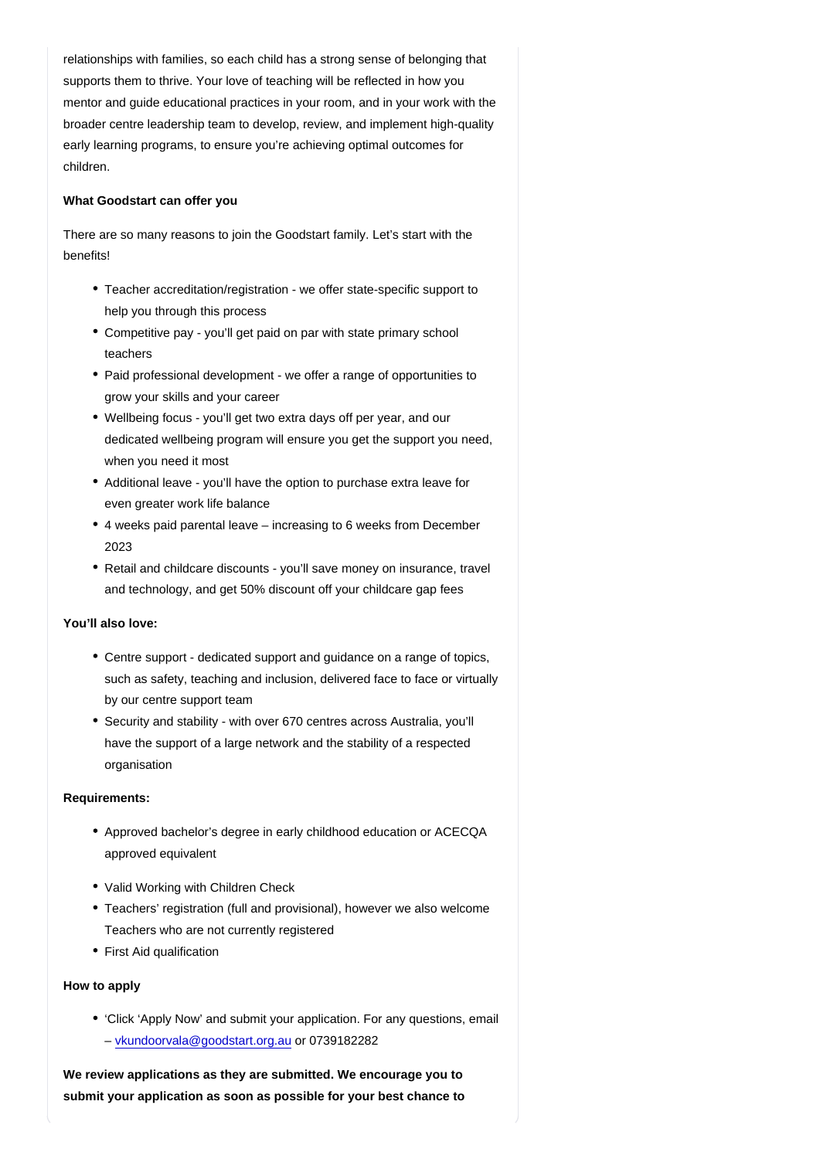relationships with families, so each child has a strong sense of belonging that supports them to thrive. Your love of teaching will be reflected in how you mentor and guide educational practices in your room, and in your work with the broader centre leadership team to develop, review, and implement high-quality early learning programs, to ensure you're achieving optimal outcomes for children.

What Goodstart can offer you

There are so many reasons to join the Goodstart family. Let's start with the benefits!

- Teacher accreditation/registration we offer state-specific support to help you through this process
- Competitive pay you'll get paid on par with state primary school teachers
- Paid professional development we offer a range of opportunities to grow your skills and your career
- Wellbeing focus you'll get two extra days off per year, and our dedicated wellbeing program will ensure you get the support you need, when you need it most
- Additional leave you'll have the option to purchase extra leave for even greater work life balance
- 4 weeks paid parental leave increasing to 6 weeks from December 2023
- Retail and childcare discounts you'll save money on insurance, travel and technology, and get 50% discount off your childcare gap fees

You'll also love:

- Centre support dedicated support and guidance on a range of topics, such as safety, teaching and inclusion, delivered face to face or virtually by our centre support team
- Security and stability with over 670 centres across Australia, you'll have the support of a large network and the stability of a respected organisation

Requirements:

- Approved bachelor's degree in early childhood education or ACECQA approved equivalent
- Valid Working with Children Check
- Teachers' registration (full and provisional), however we also welcome Teachers who are not currently registered
- First Aid qualification

How to apply

'Click 'Apply Now' and submit your application. For any questions, email – [vkundoorvala@goodstart.org.au](mailto:vkundoorvala@goodstart.org.au) or 0739182282

We review applications as they are submitted. We encourage you to submit your application as soon as possible for your best chance to